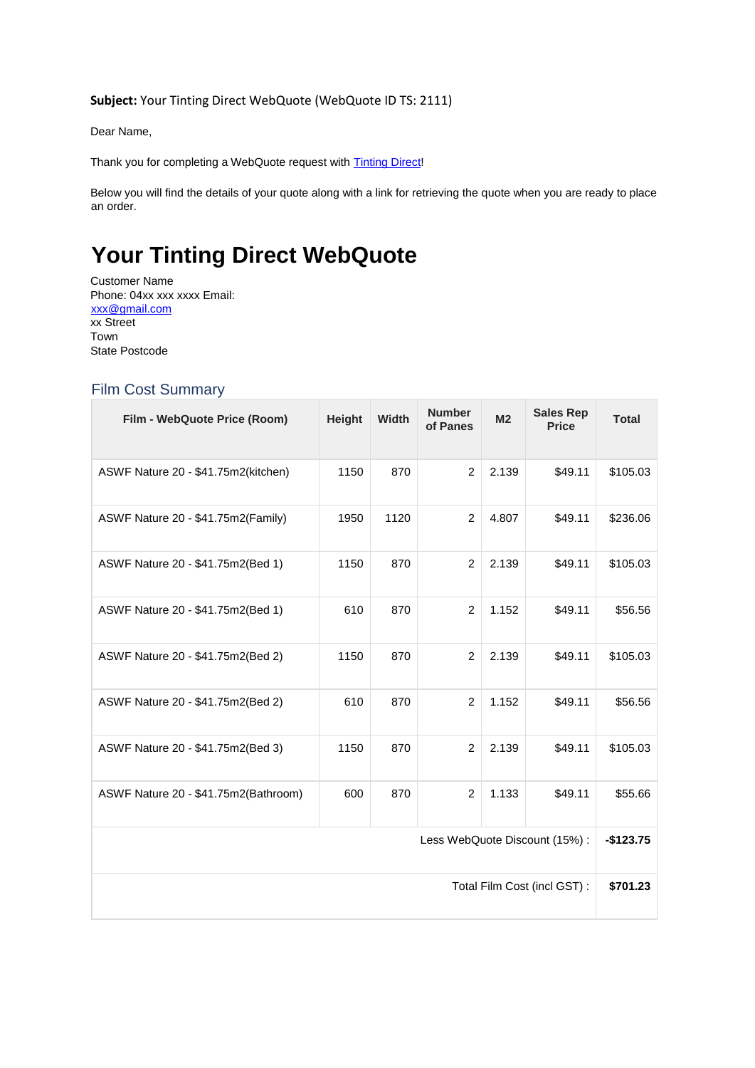#### **Subject:** Your Tinting Direct WebQuote (WebQuote ID TS: 2111)

Dear Name,

Thank you for completing a WebQuote request with **Tinting Direct!** 

Below you will find the details of your quote along with a link for retrieving the quote when you are ready to place an order.

# **Your Tinting Direct WebQuote**

Customer Name Phone: 04xx xxx xxxx Email: xxx@gmail.com xx Street Town State Postcode

### Film Cost Summary

| Film - WebQuote Price (Room)         | Height | Width | <b>Number</b><br>of Panes | M <sub>2</sub> | <b>Sales Rep</b><br><b>Price</b> | <b>Total</b> |
|--------------------------------------|--------|-------|---------------------------|----------------|----------------------------------|--------------|
| ASWF Nature 20 - \$41.75m2(kitchen)  | 1150   | 870   | $\overline{2}$            | 2.139          | \$49.11                          | \$105.03     |
| ASWF Nature 20 - \$41.75m2(Family)   | 1950   | 1120  | $\overline{2}$            | 4.807          | \$49.11                          | \$236.06     |
| ASWF Nature 20 - \$41.75m2(Bed 1)    | 1150   | 870   | $\overline{2}$            | 2.139          | \$49.11                          | \$105.03     |
| ASWF Nature 20 - \$41.75m2(Bed 1)    | 610    | 870   | $\overline{c}$            | 1.152          | \$49.11                          | \$56.56      |
| ASWF Nature 20 - \$41.75m2(Bed 2)    | 1150   | 870   | $\overline{2}$            | 2.139          | \$49.11                          | \$105.03     |
| ASWF Nature 20 - \$41.75m2(Bed 2)    | 610    | 870   | $\overline{2}$            | 1.152          | \$49.11                          | \$56.56      |
| ASWF Nature 20 - \$41.75m2(Bed 3)    | 1150   | 870   | $\overline{2}$            | 2.139          | \$49.11                          | \$105.03     |
| ASWF Nature 20 - \$41.75m2(Bathroom) | 600    | 870   | $\overline{2}$            | 1.133          | \$49.11                          | \$55.66      |
| Less WebQuote Discount (15%):        |        |       |                           |                |                                  |              |
| Total Film Cost (incl GST):          |        |       |                           |                |                                  |              |